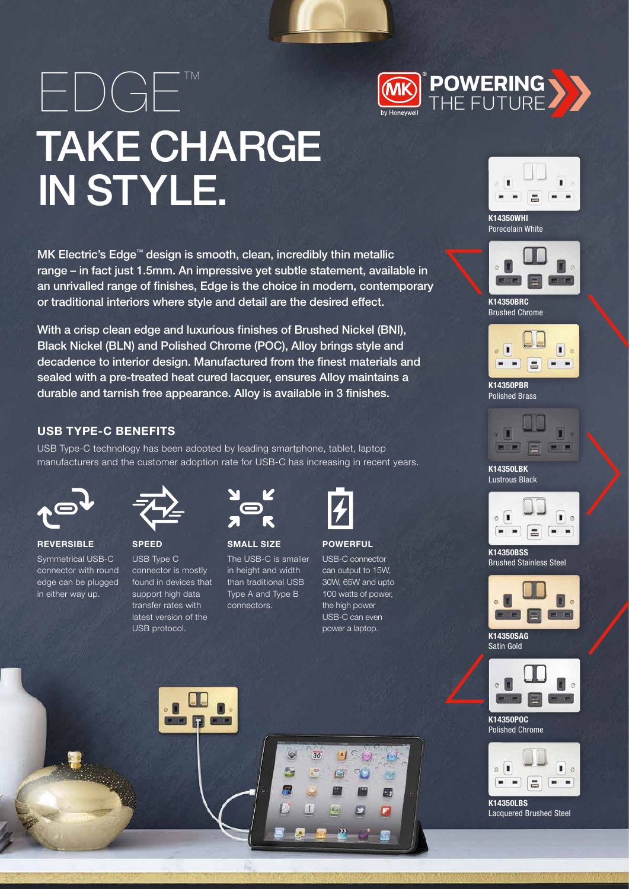EDGE™ TAKE CHARGE IN STYLE.

MK Electric's Edge™ design is smooth, clean, incredibly thin metallic range – in fact just 1.5mm. An impressive yet subtle statement, available in an unrivalled range of finishes, Edge is the choice in modern, contemporary or traditional interiors where style and detail are the desired effect.

With a crisp clean edge and luxurious finishes of Brushed Nickel (BNI), Black Nickel (BLN) and Polished Chrome (POC), Alloy brings style and decadence to interior design. Manufactured from the finest materials and sealed with a pre-treated heat cured lacquer, ensures Alloy maintains a durable and tarnish free appearance. Alloy is available in 3 finishes.

## USB TYPE-C BENEFITS

USB Type-C technology has been adopted by leading smartphone, tablet, laptop manufacturers and the customer adoption rate for USB-C has increasing in recent years.



**REVERSIBLE** Symmetrical USB-C connector with round edge can be plugged in either way up.



SPEED USB Type C connector is mostly found in devices that



SMALL SIZE The USB-C is smaller in height and width than traditional USB Type A and Type B connectors.



## **POWERFUL**

USB-C connector can output to 15W, 30W, 65W and upto 100 watts of power, the high power USB-C can even power a laptop.

> 復 朙 F



K14350WHI Porecelain White

**POWERING**  THE FUTURE



K14350BRC Brushed Chrome



K14350PBR Polished Brass



K14350LBK Lustrous Black



K14350BSS Brushed Stainless Steel



K14350SAG Satin Gold



K14350POC Polished Chrome



K14350LBS Lacquered Brushed Steel







30